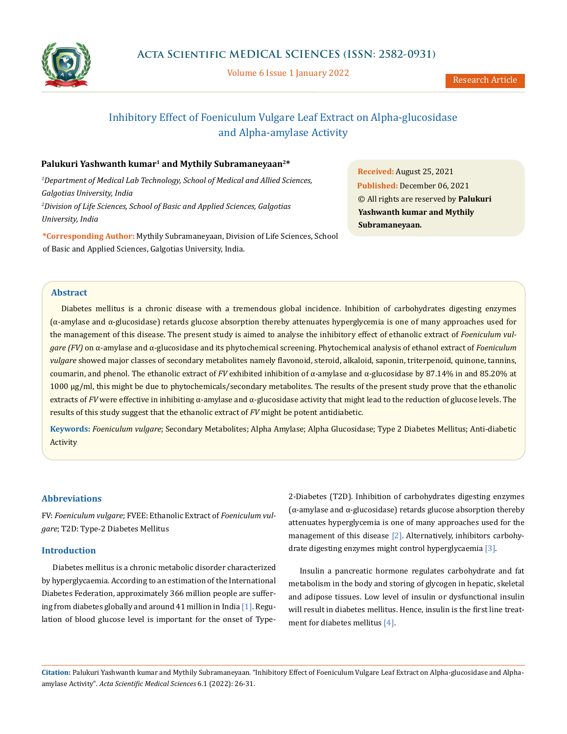

Volume 6 Issue 1 January 2022

# Inhibitory Effect of Foeniculum Vulgare Leaf Extract on Alpha-glucosidase and Alpha-amylase Activity

# Palukuri Yashwanth kumar<sup>1</sup> and Mythily Subramaneyaan<sup>2\*</sup>

<sup>1</sup>Department of Medical Lab Technology, School of Medical and Allied Sciences, *Galgotias University, India 2 Division of Life Sciences, School of Basic and Applied Sciences, Galgotias University, India*

**\*Corresponding Author:** Mythily Subramaneyaan, Division of Life Sciences, School of Basic and Applied Sciences, Galgotias University, India.

**Received:** August 25, 2021 **Published:** December 06, 2021 © All rights are reserved by **Palukuri Yashwanth kumar and Mythily Subramaneyaan***.*

# **Abstract**

Diabetes mellitus is a chronic disease with a tremendous global incidence. Inhibition of carbohydrates digesting enzymes (α-amylase and α-glucosidase) retards glucose absorption thereby attenuates hyperglycemia is one of many approaches used for the management of this disease. The present study is aimed to analyse the inhibitory effect of ethanolic extract of *Foeniculum vulgare (FV)* on α-amylase and α-glucosidase and its phytochemical screening. Phytochemical analysis of ethanol extract of *Foeniculum vulgare* showed major classes of secondary metabolites namely flavonoid, steroid, alkaloid, saponin, triterpenoid, quinone, tannins, coumarin, and phenol. The ethanolic extract of *FV* exhibited inhibition of α-amylase and α-glucosidase by 87.14% in and 85.20% at 1000  $\mu$ g/ml, this might be due to phytochemicals/secondary metabolites. The results of the present study prove that the ethanolic extracts of *FV* were effective in inhibiting α-amylase and α-glucosidase activity that might lead to the reduction of glucose levels. The results of this study suggest that the ethanolic extract of *FV* might be potent antidiabetic.

**Keywords:** *Foeniculum vulgare*; Secondary Metabolites; Alpha Amylase; Alpha Glucosidase; Type 2 Diabetes Mellitus; Anti-diabetic Activity

# **Abbreviations**

FV: *Foeniculum vulgare*; FVEE: Ethanolic Extract of *Foeniculum vulgare*; T2D: Type-2 Diabetes Mellitus

# **Introduction**

Diabetes mellitus is a chronic metabolic disorder characterized by hyperglycaemia. According to an estimation of the International Diabetes Federation, approximately 366 million people are suffering from diabetes globally and around 41 million in India [1]. Regulation of blood glucose level is important for the onset of Type2-Diabetes (T2D). Inhibition of carbohydrates digesting enzymes (α-amylase and α-glucosidase) retards glucose absorption thereby attenuates hyperglycemia is one of many approaches used for the management of this disease [2]. Alternatively, inhibitors carbohydrate digesting enzymes might control hyperglycaemia [3].

Insulin a pancreatic hormone regulates carbohydrate and fat metabolism in the body and storing of glycogen in hepatic, skeletal and adipose tissues. Low level of insulin or dysfunctional insulin will result in diabetes mellitus. Hence, insulin is the first line treatment for diabetes mellitus [4].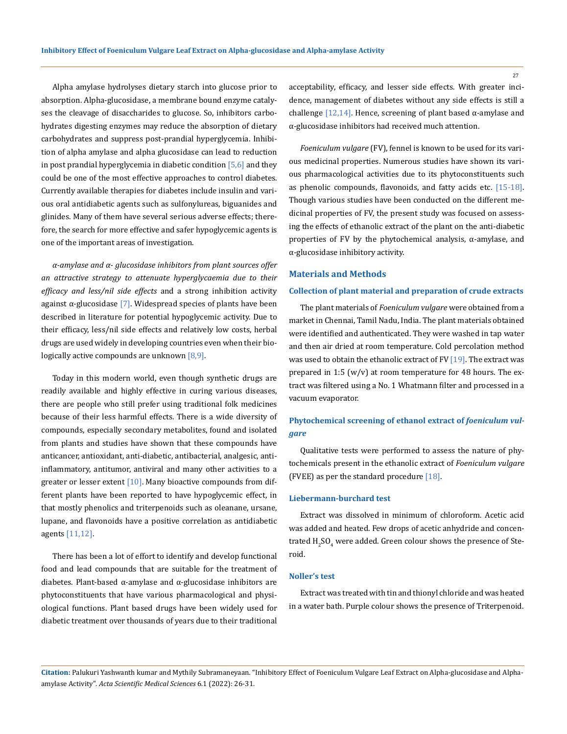Alpha amylase hydrolyses dietary starch into glucose prior to absorption. Alpha-glucosidase, a membrane bound enzyme catalyses the cleavage of disaccharides to glucose. So, inhibitors carbohydrates digesting enzymes may reduce the absorption of dietary carbohydrates and suppress post-prandial hyperglycemia. Inhibition of alpha amylase and alpha glucosidase can lead to reduction in post prandial hyperglycemia in diabetic condition  $[5,6]$  and they could be one of the most effective approaches to control diabetes. Currently available therapies for diabetes include insulin and various oral antidiabetic agents such as sulfonylureas, biguanides and glinides. Many of them have several serious adverse effects; therefore, the search for more effective and safer hypoglycemic agents is one of the important areas of investigation.

*α-amylase and α- glucosidase inhibitors from plant sources offer an attractive strategy to attenuate hyperglycaemia due to their efficacy and less/nil side effects* and a strong inhibition activity against  $\alpha$ -glucosidase [7]. Widespread species of plants have been described in literature for potential hypoglycemic activity. Due to their efficacy, less/nil side effects and relatively low costs, herbal drugs are used widely in developing countries even when their biologically active compounds are unknown  $[8,9]$ .

Today in this modern world, even though synthetic drugs are readily available and highly effective in curing various diseases, there are people who still prefer using traditional folk medicines because of their less harmful effects. There is a wide diversity of compounds, especially secondary metabolites, found and isolated from plants and studies have shown that these compounds have anticancer, antioxidant, anti-diabetic, antibacterial, analgesic, antiinflammatory, antitumor, antiviral and many other activities to a greater or lesser extent  $[10]$ . Many bioactive compounds from different plants have been reported to have hypoglycemic effect, in that mostly phenolics and triterpenoids such as oleanane, ursane, lupane, and flavonoids have a positive correlation as antidiabetic agents [11,12].

There has been a lot of effort to identify and develop functional food and lead compounds that are suitable for the treatment of diabetes. Plant-based  $\alpha$ -amylase and  $\alpha$ -glucosidase inhibitors are phytoconstituents that have various pharmacological and physiological functions. Plant based drugs have been widely used for diabetic treatment over thousands of years due to their traditional acceptability, efficacy, and lesser side effects. With greater incidence, management of diabetes without any side effects is still a challenge [12,14]. Hence, screening of plant based  $\alpha$ -amylase and α-glucosidase inhibitors had received much attention.

*Foeniculum vulgare* (FV), fennel is known to be used for its various medicinal properties. Numerous studies have shown its various pharmacological activities due to its phytoconstituents such as phenolic compounds, flavonoids, and fatty acids etc. [15-18]. Though various studies have been conducted on the different medicinal properties of FV, the present study was focused on assessing the effects of ethanolic extract of the plant on the anti-diabetic properties of FV by the phytochemical analysis, α-amylase, and α-glucosidase inhibitory activity.

# **Materials and Methods**

# **Collection of plant material and preparation of crude extracts**

The plant materials of *Foeniculum vulgare* were obtained from a market in Chennai, Tamil Nadu, India. The plant materials obtained were identified and authenticated. They were washed in tap water and then air dried at room temperature. Cold percolation method was used to obtain the ethanolic extract of FV  $[19]$ . The extract was prepared in 1:5 (w/v) at room temperature for 48 hours. The extract was filtered using a No. 1 Whatmann filter and processed in a vacuum evaporator.

# **Phytochemical screening of ethanol extract of** *foeniculum vulgare*

Qualitative tests were performed to assess the nature of phytochemicals present in the ethanolic extract of *Foeniculum vulgare* (FVEE) as per the standard procedure [18].

### **Liebermann-burchard test**

Extract was dissolved in minimum of chloroform. Acetic acid was added and heated. Few drops of acetic anhydride and concentrated  $\rm{H}_{2}SO_{4}$  were added. Green colour shows the presence of Steroid.

# **Noller's test**

Extract was treated with tin and thionyl chloride and was heated in a water bath. Purple colour shows the presence of Triterpenoid.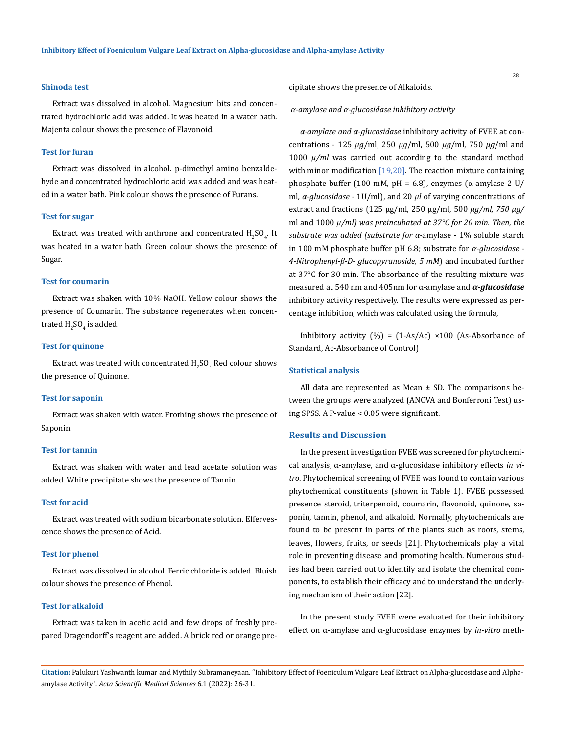#### **Shinoda test**

Extract was dissolved in alcohol. Magnesium bits and concentrated hydrochloric acid was added. It was heated in a water bath. Majenta colour shows the presence of Flavonoid.

# **Test for furan**

Extract was dissolved in alcohol. p-dimethyl amino benzaldehyde and concentrated hydrochloric acid was added and was heated in a water bath. Pink colour shows the presence of Furans.

#### **Test for sugar**

Extract was treated with anthrone and concentrated  $H_2SO_4$ . It was heated in a water bath. Green colour shows the presence of Sugar.

## **Test for coumarin**

Extract was shaken with 10% NaOH. Yellow colour shows the presence of Coumarin. The substance regenerates when concentrated  $\mathrm{H_2SO_4}$  is added.

#### **Test for quinone**

Extract was treated with concentrated  $\rm{H_2SO_4}$  Red colour shows the presence of Quinone.

#### **Test for saponin**

Extract was shaken with water. Frothing shows the presence of Saponin.

### **Test for tannin**

Extract was shaken with water and lead acetate solution was added. White precipitate shows the presence of Tannin.

#### **Test for acid**

Extract was treated with sodium bicarbonate solution. Effervescence shows the presence of Acid.

#### **Test for phenol**

Extract was dissolved in alcohol. Ferric chloride is added. Bluish colour shows the presence of Phenol.

# **Test for alkaloid**

Extract was taken in acetic acid and few drops of freshly prepared Dragendorff's reagent are added. A brick red or orange precipitate shows the presence of Alkaloids.

#### *α-amylase and α-glucosidase inhibitory activity*

*α-amylase and α-glucosidase* inhibitory activity of FVEE at concentrations - 125 *μg*/ml, 250 *μg*/ml, 500 *μg*/ml, 750 *μg*/ml and 1000 *μ/ml* was carried out according to the standard method with minor modification [19,20]. The reaction mixture containing phosphate buffer (100 mM, pH = 6.8), enzymes (α-amylase-2 U/ ml*, α-glucosidase -* 1U/ml), and 20 *μl* of varying concentrations of extract and fractions (125 μg/ml, 250 μg/ml, 500 *μg/ml, 750 μg/* ml and 1000 *μ/ml) was preincubated at 37°C for 20 min. Then, the substrate was added (substrate for α-*amylase - 1% soluble starch in 100 mM phosphate buffer pH 6.8; substrate for *α-glucosidase - 4-Nitrophenyl-β-D- glucopyranoside, 5 mM*) and incubated further at 37°C for 30 min. The absorbance of the resulting mixture was measured at 540 nm and 405nm for α-amylase and *α-glucosidase*  inhibitory activity respectively. The results were expressed as percentage inhibition, which was calculated using the formula,

Inhibitory activity  $(\%) = (1-As/Ac) \times 100$  (As-Absorbance of Standard, Ac-Absorbance of Control)

#### **Statistical analysis**

All data are represented as Mean  $\pm$  SD. The comparisons between the groups were analyzed (ANOVA and Bonferroni Test) using SPSS. A P-value < 0.05 were significant.

#### **Results and Discussion**

In the present investigation FVEE was screened for phytochemical analysis, α-amylase, and α-glucosidase inhibitory effects *in vitro*. Phytochemical screening of FVEE was found to contain various phytochemical constituents (shown in Table 1). FVEE possessed presence steroid, triterpenoid, coumarin, flavonoid, quinone, saponin, tannin, phenol, and alkaloid. Normally, phytochemicals are found to be present in parts of the plants such as roots, stems, leaves, flowers, fruits, or seeds [21]. Phytochemicals play a vital role in preventing disease and promoting health. Numerous studies had been carried out to identify and isolate the chemical components, to establish their efficacy and to understand the underlying mechanism of their action [22].

In the present study FVEE were evaluated for their inhibitory effect on α-amylase and α-glucosidase enzymes by *in-vitro* meth-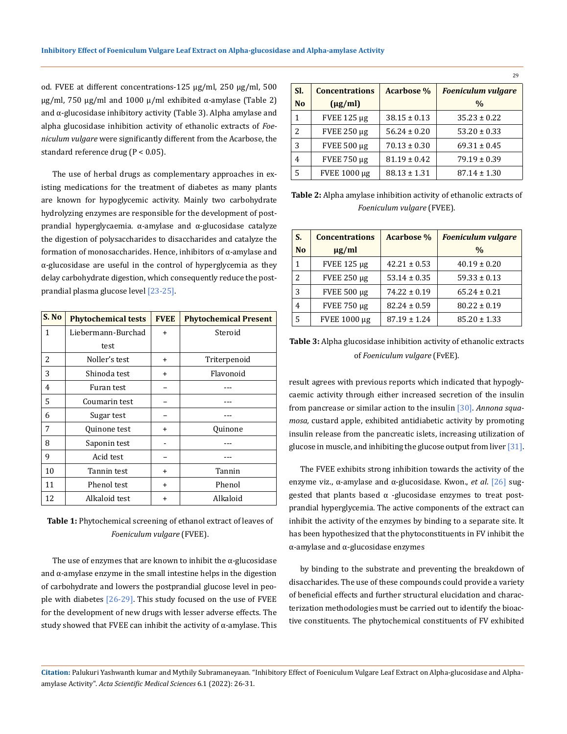od. FVEE at different concentrations-125 μg/ml, 250 μg/ml, 500 μg/ml, 750 μg/ml and 1000 μ/ml exhibited α-amylase (Table 2) and α-glucosidase inhibitory activity (Table 3). Alpha amylase and alpha glucosidase inhibition activity of ethanolic extracts of *Foeniculum vulgare* were significantly different from the Acarbose, the standard reference drug (P < 0.05).

The use of herbal drugs as complementary approaches in existing medications for the treatment of diabetes as many plants are known for hypoglycemic activity. Mainly two carbohydrate hydrolyzing enzymes are responsible for the development of postprandial hyperglycaemia. α-amylase and α-glucosidase catalyze the digestion of polysaccharides to disaccharides and catalyze the formation of monosaccharides. Hence, inhibitors of α-amylase and α-glucosidase are useful in the control of hyperglycemia as they delay carbohydrate digestion, which consequently reduce the postprandial plasma glucose level [23-25].

| S. No | <b>Phytochemical tests</b> | <b>FVEE</b> | <b>Phytochemical Present</b> |
|-------|----------------------------|-------------|------------------------------|
| 1     | Liebermann-Burchad         | +           | Steroid                      |
|       | test                       |             |                              |
| 2     | Noller's test              | $\ddot{}$   | Triterpenoid                 |
| 3     | Shinoda test               | $\ddot{}$   | Flavonoid                    |
| 4     | Furan test                 |             |                              |
| 5     | Coumarin test              |             |                              |
| 6     | Sugar test                 |             |                              |
| 7     | Ouinone test               | +           | Ouinone                      |
| 8     | Saponin test               |             |                              |
| 9     | Acid test                  |             |                              |
| 10    | Tannin test                | $\ddot{}$   | Tannin                       |
| 11    | Phenol test                | $\ddot{}$   | Phenol                       |
| 12    | Alkaloid test              | ÷           | Alkaloid                     |

**Table 1:** Phytochemical screening of ethanol extract of leaves of *Foeniculum vulgare* (FVEE).

The use of enzymes that are known to inhibit the  $\alpha$ -glucosidase and  $\alpha$ -amylase enzyme in the small intestine helps in the digestion of carbohydrate and lowers the postprandial glucose level in people with diabetes [26-29]. This study focused on the use of FVEE for the development of new drugs with lesser adverse effects. The study showed that FVEE can inhibit the activity of  $\alpha$ -amylase. This

| SI.            | <b>Concentrations</b> | <b>Acarbose</b> % | <b>Foeniculum vulgare</b> |
|----------------|-----------------------|-------------------|---------------------------|
| N <sub>o</sub> | $(\mu g/ml)$          |                   | $\frac{0}{0}$             |
|                | FVEE $125 \mu g$      | $38.15 \pm 0.13$  | $35.23 \pm 0.22$          |
| 2              | <b>FVEE 250 µg</b>    | $56.24 \pm 0.20$  | $53.20 \pm 0.33$          |
| 3              | <b>FVEE 500 µg</b>    | $70.13 \pm 0.30$  | $69.31 \pm 0.45$          |
| 4              | <b>FVEE 750 µg</b>    | $81.19 \pm 0.42$  | $79.19 \pm 0.39$          |
| 5              | <b>FVEE 1000 µg</b>   | $88.13 \pm 1.31$  | $87.14 \pm 1.30$          |

29

**Table 2:** Alpha amylase inhibition activity of ethanolic extracts of *Foeniculum vulgare* (FVEE).

| S.             | <b>Concentrations</b> | <b>Acarbose</b> % | <b>Foeniculum vulgare</b> |
|----------------|-----------------------|-------------------|---------------------------|
| N <sub>o</sub> | $\mu$ g/ml            |                   | $\frac{0}{0}$             |
| 1              | <b>FVEE 125 µg</b>    | $42.21 \pm 0.53$  | $40.19 \pm 0.20$          |
| 2              | <b>FVEE 250 µg</b>    | $53.14 \pm 0.35$  | $59.33 \pm 0.13$          |
| 3              | <b>FVEE 500 µg</b>    | $74.22 \pm 0.19$  | $65.24 \pm 0.21$          |
| 4              | <b>FVEE 750 µg</b>    | $82.24 \pm 0.59$  | $80.22 \pm 0.19$          |
| 5              | <b>FVEE 1000 µg</b>   | $87.19 \pm 1.24$  | $85.20 \pm 1.33$          |

**Table 3:** Alpha glucosidase inhibition activity of ethanolic extracts of *Foeniculum vulgare* (FvEE).

result agrees with previous reports which indicated that hypoglycaemic activity through either increased secretion of the insulin from pancrease or similar action to the insulin [30]. *Annona squamosa,* custard apple, exhibited antidiabetic activity by promoting insulin release from the pancreatic islets, increasing utilization of glucose in muscle, and inhibiting the glucose output from liver [31].

The FVEE exhibits strong inhibition towards the activity of the enzyme viz., α-amylase and α-glucosidase. Kwon., *et al*. [26] suggested that plants based  $\alpha$  -glucosidase enzymes to treat postprandial hyperglycemia. The active components of the extract can inhibit the activity of the enzymes by binding to a separate site. It has been hypothesized that the phytoconstituents in FV inhibit the α-amylase and α-glucosidase enzymes

by binding to the substrate and preventing the breakdown of disaccharides. The use of these compounds could provide a variety of beneficial effects and further structural elucidation and characterization methodologies must be carried out to identify the bioactive constituents. The phytochemical constituents of FV exhibited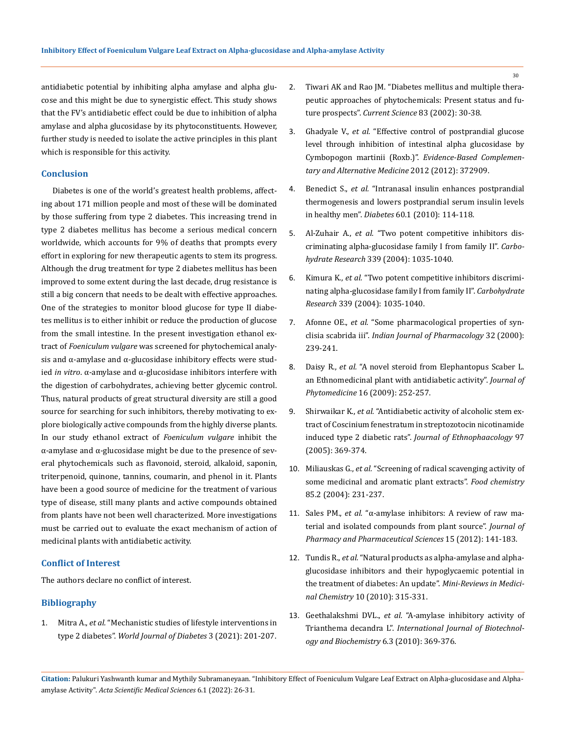antidiabetic potential by inhibiting alpha amylase and alpha glucose and this might be due to synergistic effect. This study shows that the FV's antidiabetic effect could be due to inhibition of alpha amylase and alpha glucosidase by its phytoconstituents. However, further study is needed to isolate the active principles in this plant which is responsible for this activity.

# **Conclusion**

Diabetes is one of the world's greatest health problems, affecting about 171 million people and most of these will be dominated by those suffering from type 2 diabetes. This increasing trend in type 2 diabetes mellitus has become a serious medical concern worldwide, which accounts for 9% of deaths that prompts every effort in exploring for new therapeutic agents to stem its progress. Although the drug treatment for type 2 diabetes mellitus has been improved to some extent during the last decade, drug resistance is still a big concern that needs to be dealt with effective approaches. One of the strategies to monitor blood glucose for type II diabetes mellitus is to either inhibit or reduce the production of glucose from the small intestine. In the present investigation ethanol extract of *Foeniculum vulgare* was screened for phytochemical analysis and  $\alpha$ -amylase and  $\alpha$ -glucosidase inhibitory effects were studied *in vitro*. α-amylase and α-glucosidase inhibitors interfere with the digestion of carbohydrates, achieving better glycemic control. Thus, natural products of great structural diversity are still a good source for searching for such inhibitors, thereby motivating to explore biologically active compounds from the highly diverse plants. In our study ethanol extract of *Foeniculum vulgare* inhibit the  $\alpha$ -amylase and  $\alpha$ -glucosidase might be due to the presence of several phytochemicals such as flavonoid, steroid, alkaloid, saponin, triterpenoid, quinone, tannins, coumarin, and phenol in it. Plants have been a good source of medicine for the treatment of various type of disease, still many plants and active compounds obtained from plants have not been well characterized. More investigations must be carried out to evaluate the exact mechanism of action of medicinal plants with antidiabetic activity.

# **Conflict of Interest**

The authors declare no conflict of interest.

# **Bibliography**

1. Mitra A., *et al.* ["Mechanistic studies of lifestyle interventions in](https://www.ncbi.nlm.nih.gov/pmc/articles/PMC3538986/)  type 2 diabetes". *[World Journal of Diabetes](https://www.ncbi.nlm.nih.gov/pmc/articles/PMC3538986/)* 3 (2021): 201-207.

- 2. [Tiwari AK and Rao JM. "Diabetes mellitus and multiple thera](https://www.jstor.org/stable/24106071)[peutic approaches of phytochemicals: Present status and fu](https://www.jstor.org/stable/24106071)ture prospects". *[Current Science](https://www.jstor.org/stable/24106071)* 83 (2002): 30-38.
- 3. Ghadyale V., *et al.* ["Effective control of postprandial glucose](https://pubmed.ncbi.nlm.nih.gov/21792369/)  [level through inhibition of intestinal alpha glucosidase by](https://pubmed.ncbi.nlm.nih.gov/21792369/)  Cymbopogon martinii (Roxb.)". *[Evidence-Based Complemen](https://pubmed.ncbi.nlm.nih.gov/21792369/)[tary and Alternative Medicine](https://pubmed.ncbi.nlm.nih.gov/21792369/)* 2012 (2012): 372909.
- 4. Benedict S., *et al.* ["Intranasal insulin enhances postprandial](https://pubmed.ncbi.nlm.nih.gov/20876713/)  [thermogenesis and lowers postprandial serum insulin levels](https://pubmed.ncbi.nlm.nih.gov/20876713/)  in healthy men". *Diabetes* [60.1 \(2010\): 114-118.](https://pubmed.ncbi.nlm.nih.gov/20876713/)
- 5. Al-Zuhair A., *et al.* "Two potent competitive inhibitors discriminating alpha-glucosidase family I from family II". *Carbohydrate Research* 339 (2004): 1035-1040.
- 6. Kimura K., *et al.* ["Two potent competitive inhibitors discrimi](file:///D:/AS/ASMS/ASMS-21-RA-306/Al-Zuhair%20A.,%20et%20al.%20“Two%20potent%20competitive%20inhibitors%20discriminating%20alpha-glucosidase%20family%20I%20from%20family%20II)[nating alpha-glucosidase family I from family II".](file:///D:/AS/ASMS/ASMS-21-RA-306/Al-Zuhair%20A.,%20et%20al.%20“Two%20potent%20competitive%20inhibitors%20discriminating%20alpha-glucosidase%20family%20I%20from%20family%20II) *Carbohydrate Research* [339 \(2004\): 1035-1040.](file:///D:/AS/ASMS/ASMS-21-RA-306/Al-Zuhair%20A.,%20et%20al.%20“Two%20potent%20competitive%20inhibitors%20discriminating%20alpha-glucosidase%20family%20I%20from%20family%20II)
- 7. Afonne OE., *et al.* ["Some pharmacological properties of syn](https://www.researchgate.net/publication/14495716_Some_pharmacological_properties_of_Synclisia_scabrida_III)clisia scabrida iii". *[Indian Journal of](https://www.researchgate.net/publication/14495716_Some_pharmacological_properties_of_Synclisia_scabrida_III) Pharmacology* 32 (2000): [239-241.](https://www.researchgate.net/publication/14495716_Some_pharmacological_properties_of_Synclisia_scabrida_III)
- 8. Daisy R., *et al.* ["A novel steroid from Elephantopus Scaber L.](https://pubmed.ncbi.nlm.nih.gov/18693100/)  [an Ethnomedicinal plant with antidiabetic activity".](https://pubmed.ncbi.nlm.nih.gov/18693100/) *Journal of Phytomedicine* [16 \(2009\): 252-257.](https://pubmed.ncbi.nlm.nih.gov/18693100/)
- 9. Shirwaikar K., *et al.* ["Antidiabetic activity of alcoholic stem ex](https://pubmed.ncbi.nlm.nih.gov/15707777/)[tract of Coscinium fenestratum in streptozotocin nicotinamide](https://pubmed.ncbi.nlm.nih.gov/15707777/)  induced type 2 diabetic rats". *[Journal of Ethnophaacology](https://pubmed.ncbi.nlm.nih.gov/15707777/)* 97 [\(2005\): 369-374.](https://pubmed.ncbi.nlm.nih.gov/15707777/)
- 10. Miliauskas G., *et al.* ["Screening of radical scavenging activity of](https://www.sciencedirect.com/science/article/abs/pii/S0308814603003492)  [some medicinal and aromatic plant extracts".](https://www.sciencedirect.com/science/article/abs/pii/S0308814603003492) *Food chemistry* [85.2 \(2004\): 231-237.](https://www.sciencedirect.com/science/article/abs/pii/S0308814603003492)
- 11. Sales PM., *et al.* ["α-amylase inhibitors: A review of raw ma](https://pubmed.ncbi.nlm.nih.gov/22365095/)[terial and isolated compounds from plant source".](https://pubmed.ncbi.nlm.nih.gov/22365095/) *Journal of [Pharmacy and Pharmaceutical Sciences](https://pubmed.ncbi.nlm.nih.gov/22365095/)* 15 (2012): 141-183.
- 12. Tundis R., *et al.* ["Natural products as alpha-amylase and alpha](https://pubmed.ncbi.nlm.nih.gov/20470247/)[glucosidase inhibitors and their hypoglycaemic potential in](https://pubmed.ncbi.nlm.nih.gov/20470247/)  [the treatment of diabetes: An update".](https://pubmed.ncbi.nlm.nih.gov/20470247/) *Mini-Reviews in Medicinal Chemistry* [10 \(2010\): 315-331.](https://pubmed.ncbi.nlm.nih.gov/20470247/)
- 13. Geethalakshmi DVL., *et al.* ["A-amylase inhibitory activity of](https://www.researchgate.net/publication/258704729_a-Amylase_Inhibitory_Activity_of_Trianthema_decandra_L)  Trianthema decandra L". *[International Journal of Biotechnol](https://www.researchgate.net/publication/258704729_a-Amylase_Inhibitory_Activity_of_Trianthema_decandra_L)[ogy and Biochemistry](https://www.researchgate.net/publication/258704729_a-Amylase_Inhibitory_Activity_of_Trianthema_decandra_L)* 6.3 (2010): 369-376.

30

**Citation:** Palukuri Yashwanth kumar and Mythily Subramaneyaan*.* "Inhibitory Effect of Foeniculum Vulgare Leaf Extract on Alpha-glucosidase and Alphaamylase Activity". *Acta Scientific Medical Sciences* 6.1 (2022): 26-31.